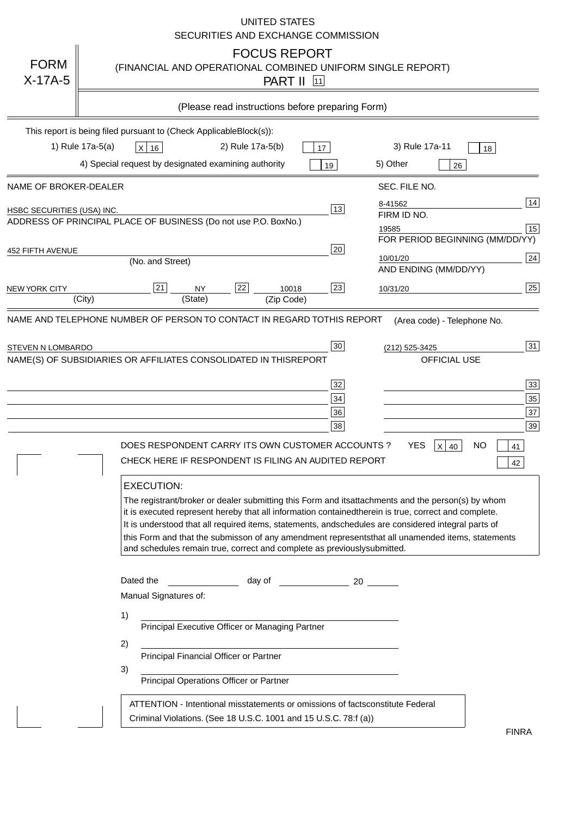|                                   | <b>UNITED STATES</b><br>SECURITIES AND EXCHANGE COMMISSION                                                                                                                                                                                                                                                                                                                                                                                                                                                                                                                                                                                                                                                                                                                                                                                                                |
|-----------------------------------|---------------------------------------------------------------------------------------------------------------------------------------------------------------------------------------------------------------------------------------------------------------------------------------------------------------------------------------------------------------------------------------------------------------------------------------------------------------------------------------------------------------------------------------------------------------------------------------------------------------------------------------------------------------------------------------------------------------------------------------------------------------------------------------------------------------------------------------------------------------------------|
| <b>FORM</b><br>$X-17A-5$          | <b>FOCUS REPORT</b><br>(FINANCIAL AND OPERATIONAL COMBINED UNIFORM SINGLE REPORT)<br><b>PART II</b> 11                                                                                                                                                                                                                                                                                                                                                                                                                                                                                                                                                                                                                                                                                                                                                                    |
|                                   | (Please read instructions before preparing Form)                                                                                                                                                                                                                                                                                                                                                                                                                                                                                                                                                                                                                                                                                                                                                                                                                          |
|                                   | This report is being filed pursuant to (Check Applicable<br>$Block(s)$ :<br>3) Rule 17a-11<br>1) Rule 17a-5(a)<br>2) Rule 17a-5(b)<br>$X$ 16<br>17<br>18<br>4) Special request by designated examining authority<br>5) Other<br>19<br>26                                                                                                                                                                                                                                                                                                                                                                                                                                                                                                                                                                                                                                  |
| NAME OF BROKER-DEALER             | SEC. FILE NO.                                                                                                                                                                                                                                                                                                                                                                                                                                                                                                                                                                                                                                                                                                                                                                                                                                                             |
| <b>HSBC SECURITIES (USA) INC.</b> | 14<br>8-41562<br>13<br>FIRM ID NO.<br>ADDRESS OF PRINCIPAL PLACE OF BUSINESS (Do not use P.O. Box<br>No.)<br>$\boxed{15}$<br>19585<br>FOR PERIOD BEGINNING (MM/DD/YY)                                                                                                                                                                                                                                                                                                                                                                                                                                                                                                                                                                                                                                                                                                     |
| <b>452 FIFTH AVENUE</b>           | 20<br>24<br>10/01/20<br>(No. and Street)<br>AND ENDING (MM/DD/YY)                                                                                                                                                                                                                                                                                                                                                                                                                                                                                                                                                                                                                                                                                                                                                                                                         |
| <b>NEW YORK CITY</b>              | 25<br>22<br>21<br>23<br><b>NY</b><br>10018<br>10/31/20<br>(City)<br>(State)<br>(Zip Code)                                                                                                                                                                                                                                                                                                                                                                                                                                                                                                                                                                                                                                                                                                                                                                                 |
|                                   | NAME(S) OF SUBSIDIARIES OR AFFILIATES CONSOLIDATED IN THIS<br><b>REPORT</b><br><b>OFFICIAL USE</b><br>$\overline{33}$<br>32<br>35<br>34<br>37<br>36<br>39<br>38<br>DOES RESPONDENT CARRY ITS OWN CUSTOMER ACCOUNTS ?<br><b>YES</b><br>$X$ 40<br><b>NO</b><br>41<br>CHECK HERE IF RESPONDENT IS FILING AN AUDITED REPORT<br>42<br><b>EXECUTION:</b><br>The registrant/broker or dealer submitting this Form and its<br>attachments and the person(s) by whom<br>it is executed represent hereby that all information contained<br>therein is true, correct and complete.<br>It is understood that all required items, statements, and<br>schedules are considered integral parts of<br>this Form and that the submisson of any amendment represents<br>that all unamended items, statements<br>and schedules remain true, correct and complete as previously<br>submitted. |
|                                   | Dated the<br>day of<br>20<br>Manual Signatures of:<br>1)<br>Principal Executive Officer or Managing Partner<br>2)<br>Principal Financial Officer or Partner<br>3)<br>Principal Operations Officer or Partner                                                                                                                                                                                                                                                                                                                                                                                                                                                                                                                                                                                                                                                              |
|                                   | ATTENTION - Intentional misstatements or omissions of facts<br>constitute Federal<br>Criminal Violations. (See 18 U.S.C. 1001 and 15 U.S.C. 78:f (a)<br>$\lambda$<br><b>FINRA</b>                                                                                                                                                                                                                                                                                                                                                                                                                                                                                                                                                                                                                                                                                         |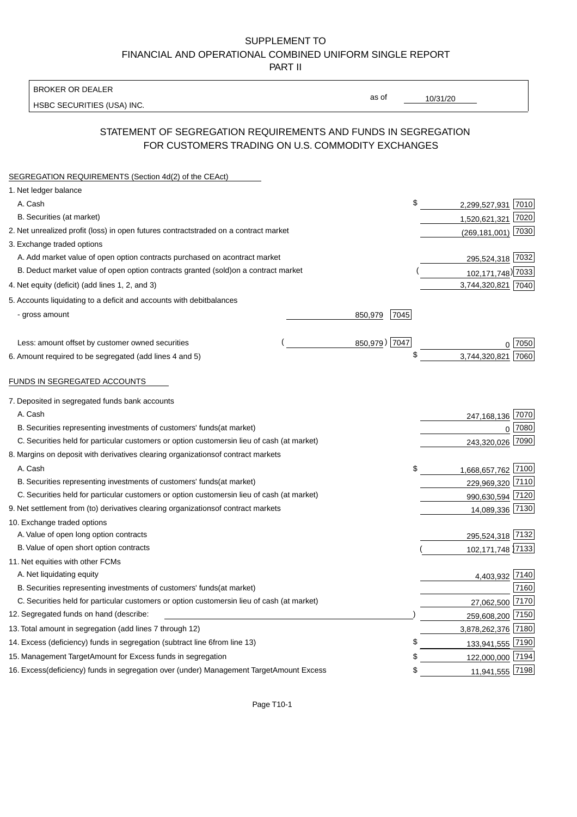### BROKER OR DEALER

HSBC SECURITIES (USA) INC.

10/31/20

as of

# STATEMENT OF SEGREGATION REQUIREMENTS AND FUNDS IN SEGREGATION FOR CUSTOMERS TRADING ON U.S. COMMODITY EXCHANGES

| SEGREGATION REQUIREMENTS (Section 4d(2) of the CEAct)                                          |                          |                   |
|------------------------------------------------------------------------------------------------|--------------------------|-------------------|
| 1. Net ledger balance                                                                          |                          |                   |
| A. Cash                                                                                        | \$<br>2,299,527,931 7010 |                   |
| B. Securities (at market)                                                                      | 1,520,621,321            | 7020              |
| 2. Net unrealized profit (loss) in open futures contracts<br>traded on a contract market       | $(269, 181, 001)$ 7030   |                   |
| 3. Exchange traded options                                                                     |                          |                   |
| A. Add market value of open option contracts purchased on a<br>contract market                 | 295,524,318 7032         |                   |
| B. Deduct market value of open option contracts granted (sold)<br>on a contract market         |                          | 102,171,748) 7033 |
| 4. Net equity (deficit) (add lines 1, 2, and 3)                                                | 3,744,320,821 7040       |                   |
| 5. Accounts liquidating to a deficit and accounts with debit<br>balances                       |                          |                   |
| - gross amount<br>850,979                                                                      | 7045                     |                   |
|                                                                                                |                          |                   |
| Less: amount offset by customer owned securities                                               | 850,979) 7047            | ი  7050           |
| 6. Amount required to be segregated (add lines 4 and 5)                                        | \$<br>3,744,320,821      | 7060              |
| FUNDS IN SEGREGATED ACCOUNTS                                                                   |                          |                   |
| 7. Deposited in segregated funds bank accounts                                                 |                          |                   |
| A. Cash                                                                                        | 247,168,136              | 7070              |
| B. Securities representing investments of customers' funds<br>(at market)                      |                          | 7080<br>0         |
| C. Securities held for particular customers or option customers<br>in lieu of cash (at market) | 243,320,026 7090         |                   |
| 8. Margins on deposit with derivatives clearing organizations<br>of contract markets           |                          |                   |
| A. Cash                                                                                        | \$<br>1,668,657,762 7100 |                   |
| B. Securities representing investments of customers' funds<br>(at market)                      |                          | 229,969,320 7110  |
| C. Securities held for particular customers or option customers<br>in lieu of cash (at market) |                          | 990,630,594 7120  |
| 9. Net settlement from (to) derivatives clearing organizations<br>of contract markets          |                          | 14,089,336 7130   |
| 10. Exchange traded options                                                                    |                          |                   |
| A. Value of open long option contracts                                                         |                          | 295,524,318 7132  |
| B. Value of open short option contracts                                                        |                          | 102,171,748 7133  |
| 11. Net equities with other FCMs                                                               |                          |                   |
| A. Net liquidating equity                                                                      |                          | 4,403,932 7140    |
| B. Securities representing investments of customers' funds<br>(at market)                      |                          | 7160              |
| C. Securities held for particular customers or option customers<br>in lieu of cash (at market) |                          | 27,062,500 7170   |
| 12. Segregated funds on hand (describe:                                                        | 259,608,200 7150         |                   |
| 13. Total amount in segregation (add lines 7 through 12)                                       | 3,878,262,376 7180       |                   |
| 14. Excess (deficiency) funds in segregation (subtract line 6<br>from line 13)                 | \$                       | 133,941,555 7190  |
| 15. Management Target Amount for Excess funds in segregation                                   | 122,000,000 7194<br>\$   |                   |
| 16. Excess (deficiency) funds in segregation over (under) Management Target Amount Excess      | \$                       | 11,941,555 7198   |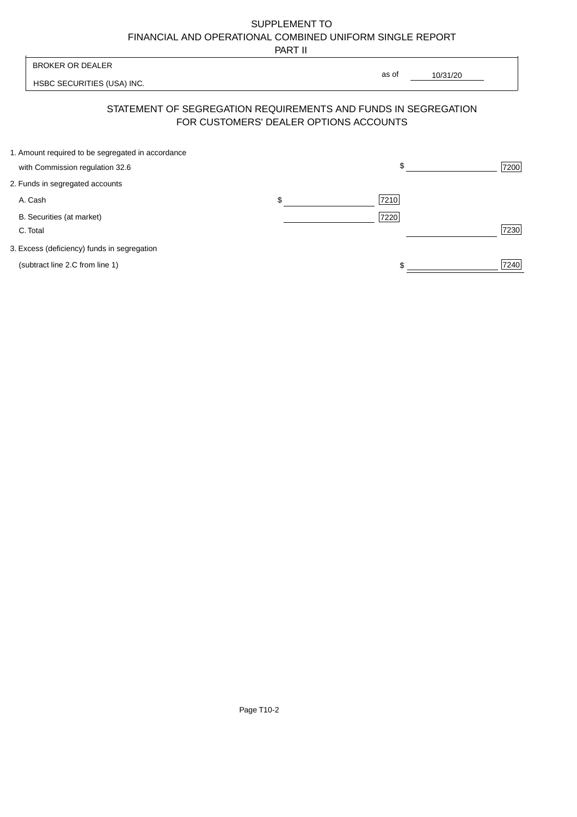PART II

|                                                                                      | .                                                                                                        |            |
|--------------------------------------------------------------------------------------|----------------------------------------------------------------------------------------------------------|------------|
| <b>BROKER OR DEALER</b>                                                              |                                                                                                          |            |
| HSBC SECURITIES (USA) INC.                                                           | as of                                                                                                    | 10/31/20   |
|                                                                                      | STATEMENT OF SEGREGATION REQUIREMENTS AND FUNDS IN SEGREGATION<br>FOR CUSTOMERS' DEALER OPTIONS ACCOUNTS |            |
| 1. Amount required to be segregated in accordance<br>with Commission regulation 32.6 |                                                                                                          | \$<br>7200 |
| 2. Funds in segregated accounts                                                      |                                                                                                          |            |
| A. Cash                                                                              | \$<br>7210                                                                                               |            |
| B. Securities (at market)<br>C. Total                                                | 7220                                                                                                     | 7230       |
| 3. Excess (deficiency) funds in segregation                                          |                                                                                                          |            |
| (subtract line 2.C from line 1)                                                      |                                                                                                          | 7240       |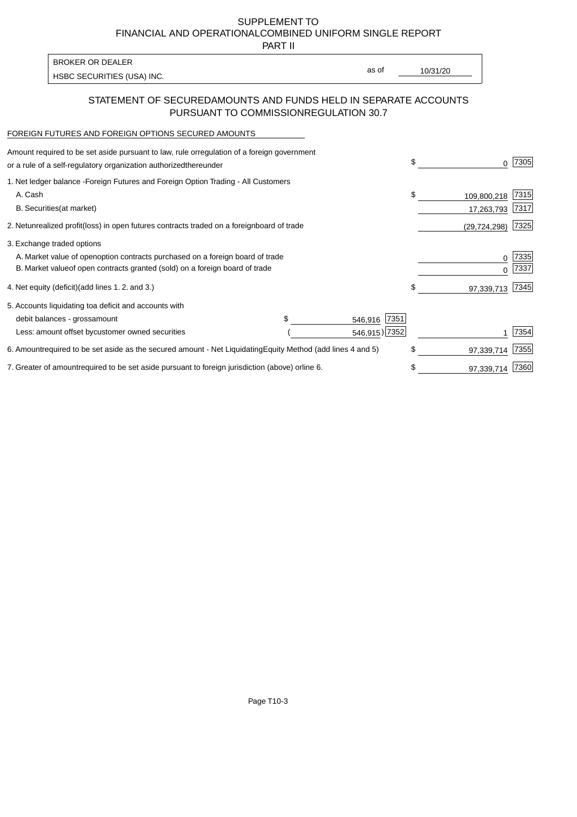PART II

HSBC SECURITIES (USA) INC. The state of the second second in the second second second in the second second second second second second second second second second second second second second second second second second sec BROKER OR DEALER

as of

## STATEMENT OF SECURED AMOUNTS AND FUNDS HELD IN SEPARATE ACCOUNTS PURSUANT TO COMMISSION REGULATION 30.7

#### FOREIGN FUTURES AND FOREIGN OPTIONS SECURED AMOUNTS

| regulation of a foreign government<br>Amount required to be set aside pursuant to law, rule or<br>or a rule of a self-regulatory organization authorized<br>thereunder                       | \$                              | 7305         |
|----------------------------------------------------------------------------------------------------------------------------------------------------------------------------------------------|---------------------------------|--------------|
| 1. Net ledger balance - Foreign Futures and Foreign Option Trading - All Customers<br>A. Cash<br><b>B.</b> Securities<br>(at market)                                                         | \$<br>109,800,218<br>17,263,793 | 7315<br>7317 |
| unrealized profit (loss) in open futures contracts traded on a foreign board of trade<br>2. Net                                                                                              | (29, 724, 298)                  | 7325         |
| 3. Exchange traded options<br>A. Market value of open option contracts purchased on a foreign board of trade<br>B. Market value of open contracts granted (sold) on a foreign board of trade | $\Omega$                        | 7335<br>7337 |
| (add lines 1.2. and 3.)<br>4. Net equity (deficit)                                                                                                                                           | \$<br>97,339,713                | 7345         |
| 5. Accounts liquidating to<br>a deficit and accounts with<br>7351<br>debit balances - gross<br>amount<br>546,916<br>546,915) 7352<br>Less: amount offset by customer owned securities        |                                 | 7354         |
| 6. Amount required to be set aside as the secured amount - Net Liquidating<br>Equity Method (add lines 4 and 5)                                                                              | \$<br>97,339,714                | 7355         |
| 7. Greater of amount required to be set aside pursuant to foreign jurisdiction (above) or<br>line 6.                                                                                         | 97,339,714                      | 7360         |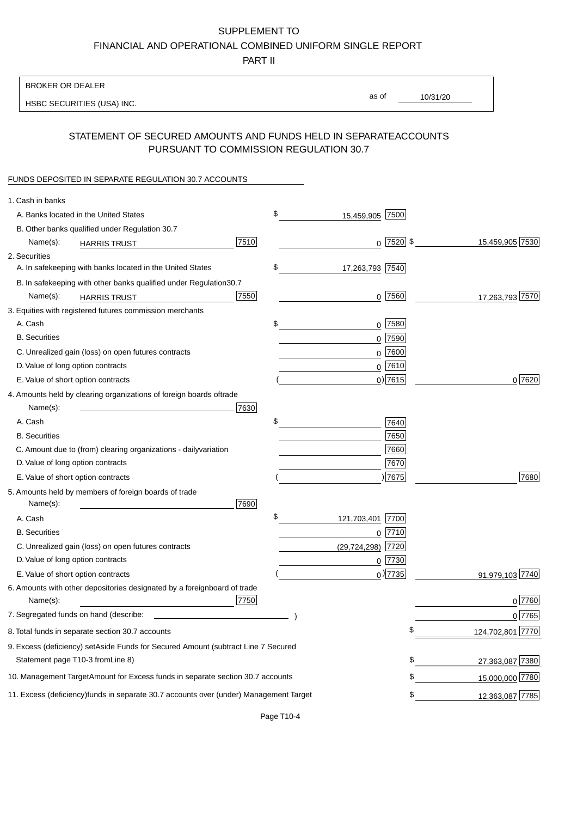PART II

| <b>BROKER OR DEALER</b>                                                                           |                        |                        |                 |                  |
|---------------------------------------------------------------------------------------------------|------------------------|------------------------|-----------------|------------------|
| HSBC SECURITIES (USA) INC.                                                                        |                        | as of                  | 10/31/20        |                  |
|                                                                                                   |                        |                        |                 |                  |
| STATEMENT OF SECURED AMOUNTS AND FUNDS HELD IN SEPARATE<br>PURSUANT TO COMMISSION REGULATION 30.7 |                        |                        | <b>ACCOUNTS</b> |                  |
| FUNDS DEPOSITED IN SEPARATE REGULATION 30.7 ACCOUNTS                                              |                        |                        |                 |                  |
| 1. Cash in banks                                                                                  |                        |                        |                 |                  |
| A. Banks located in the United States                                                             | \$                     | 15,459,905 7500        |                 |                  |
| B. Other banks qualified under Regulation 30.7                                                    |                        |                        |                 |                  |
| Name(s):<br><b>HARRIS TRUST</b>                                                                   | 7510                   | $0$ 7520 \$            |                 | 15,459,905 7530  |
| 2. Securities                                                                                     |                        |                        |                 |                  |
| A. In safekeeping with banks located in the United States                                         | \$                     | 17,263,793 7540        |                 |                  |
| B. In safekeeping with other banks qualified under Regulation                                     | 30.7                   |                        |                 |                  |
| Name(s):<br><b>HARRIS TRUST</b>                                                                   | 7550                   | $0$ 7560               |                 | 17,263,793 7570  |
| 3. Equities with registered futures commission merchants                                          |                        |                        |                 |                  |
| A. Cash                                                                                           | \$                     | $0$ 7580               |                 |                  |
| <b>B.</b> Securities                                                                              |                        | $0$ 7590               |                 |                  |
| C. Unrealized gain (loss) on open futures contracts                                               |                        | $0$ 7600               |                 |                  |
| D. Value of long option contracts                                                                 |                        | $0$ 7610               |                 |                  |
| E. Value of short option contracts                                                                |                        | $0)$ 7615              |                 | 0 7620           |
| 4. Amounts held by clearing organizations of foreign boards of<br>trade                           |                        |                        |                 |                  |
| Name(s):                                                                                          | 7630                   |                        |                 |                  |
| A. Cash                                                                                           | \$                     | 7640                   |                 |                  |
| <b>B.</b> Securities                                                                              |                        | 7650                   |                 |                  |
| C. Amount due to (from) clearing organizations - daily<br>variation                               |                        | 7660                   |                 |                  |
| D. Value of long option contracts                                                                 |                        | 7670                   |                 |                  |
| E. Value of short option contracts                                                                |                        | ) 7675                 |                 | 7680             |
| 5. Amounts held by members of foreign boards of trade<br>Name(s):                                 | 7690                   |                        |                 |                  |
| A. Cash                                                                                           | \$                     | 121,703,401 7700       |                 |                  |
| <b>B.</b> Securities                                                                              |                        | 7710<br>0              |                 |                  |
| C. Unrealized gain (loss) on open futures contracts                                               |                        | 7720<br>(29, 724, 298) |                 |                  |
| D. Value of long option contracts                                                                 |                        | $0$ 7730               |                 |                  |
| E. Value of short option contracts                                                                |                        | $_0$ ) 7735            |                 | 91,979,103 7740  |
| 6. Amounts with other depositories designated by a foreign<br>Name(s):                            | board of trade<br>7750 |                        |                 | 0 7760           |
| 7. Segregated funds on hand (describe:                                                            |                        |                        |                 | 0 7765           |
| 8. Total funds in separate section 30.7 accounts                                                  |                        |                        | \$              | 124,702,801 7770 |
| 9. Excess (deficiency) set Aside Funds for Secured Amount (subtract Line 7 Secured                |                        |                        |                 |                  |
| Statement page T10-3 from Line 8)                                                                 |                        |                        | \$              | 27,363,087 7380  |
| 10. Management Target Amount for Excess funds in separate section 30.7 accounts                   |                        |                        | \$              | 15,000,000 7780  |
| 11. Excess (deficiency) funds in separate 30.7 accounts over (under) Management Target            |                        |                        | \$              | 12,363,087 7785  |
|                                                                                                   |                        |                        |                 |                  |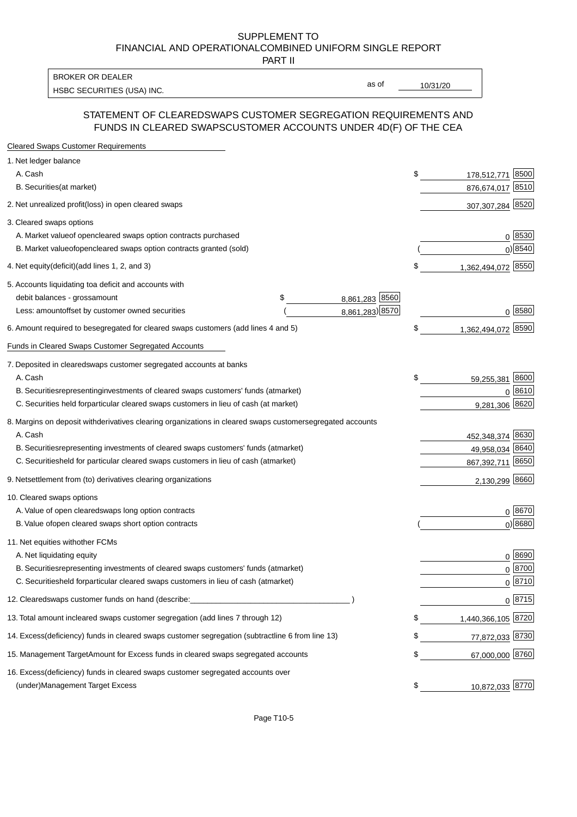PART II

HSBC SECURITIES (USA) INC. The state of the state of the state of the state of the state of the state of the state of the state of the state of the state of the state of the state of the state of the state of the state of BROKER OR DEALER

as of

#### STATEMENT OF CLEARED SWAPS CUSTOMER SEGREGATION REQUIREMENTS AND FUNDS IN CLEARED SWAPS CUSTOMER ACCOUNTS UNDER 4D(F) OF THE CEA

| <b>Cleared Swaps Customer Requirements</b>                                                                  |                             |
|-------------------------------------------------------------------------------------------------------------|-----------------------------|
| 1. Net ledger balance                                                                                       |                             |
| A. Cash                                                                                                     | \$<br>8500<br>178,512,771   |
| B. Securities (at market)                                                                                   | 876,674,017 8510            |
| 2. Net unrealized profit (loss) in open cleared swaps                                                       | 307,307,284 8520            |
| 3. Cleared swaps options                                                                                    |                             |
| A. Market value of open cleared swaps option contracts purchased                                            | $0^{8530}$                  |
| B. Market value of open cleared swaps option contracts granted (sold)                                       | $0)$ 8540                   |
| 4. Net equity (deficit) (add lines 1, 2, and 3)                                                             | \$<br>1,362,494,072 8550    |
| 5. Accounts liquidating to a deficit and accounts with                                                      |                             |
| 8,861,283 8560<br>debit balances - gross<br>\$<br>amount                                                    |                             |
| 8,861,283) 8570<br>Less: amount offset by customer owned securities                                         | 0 8580                      |
| 6. Amount required to be segregated for cleared swaps customers (add lines 4 and 5)                         | \$<br>8590<br>1,362,494,072 |
| Funds in Cleared Swaps Customer Segregated Accounts                                                         |                             |
| 7. Deposited in cleared swaps customer segregated accounts at banks                                         |                             |
| A. Cash                                                                                                     | \$<br>8600<br>59,255,381    |
| B. Securities representing investments of cleared swaps customers' funds (at market)                        | $0^{8610}$                  |
| C. Securities held for particular cleared swaps customers in lieu of cash (at market)                       | 9,281,306 8620              |
| 8. Margins on deposit with derivatives clearing organizations in cleared swaps customer segregated accounts |                             |
| A. Cash                                                                                                     | 452,348,374 8630            |
| B. Securities representing investments of cleared swaps customers' funds (at market)                        | 8640<br>49,958,034          |
| C. Securities<br>held for particular cleared swaps customers in lieu of cash (at market)                    | 867,392,711 8650            |
| 9. Net settlement from (to) derivatives clearing organizations                                              | 2,130,299 8660              |
| 10. Cleared swaps options                                                                                   |                             |
| A. Value of open cleared swaps long option contracts                                                        | $0^{8670}$                  |
| B. Value of open cleared swaps short option contracts                                                       | $0$ ) 8680                  |
| 11. Net equities with other FCMs                                                                            |                             |
| A. Net liquidating equity                                                                                   | $0^{8690}$                  |
| B. Securities representing investments of cleared swaps customers' funds (at market)                        | $0^{8700}$                  |
| C. Securities held for particular cleared swaps customers in lieu of cash (at market)                       | 0 8710                      |
| 12. Cleared swaps customer funds on hand (describe:                                                         | $0 \;  8715 $               |
| 13. Total amount in cleared swaps customer segregation (add lines 7 through 12)                             | \$<br>1,440,366,105 8720    |
| 14. Excess (deficiency) funds in cleared swaps customer segregation (subtract line 6 from line 13)          | 77,872,033 8730             |
| 15. Management Target Amount for Excess funds in cleared swaps segregated accounts                          | \$<br>67,000,000 8760       |
| 16. Excess<br>(deficiency) funds in cleared swaps customer segregated accounts over                         |                             |
| <b>Management Target Excess</b><br>(under)                                                                  | \$<br>10,872,033 8770       |
|                                                                                                             |                             |